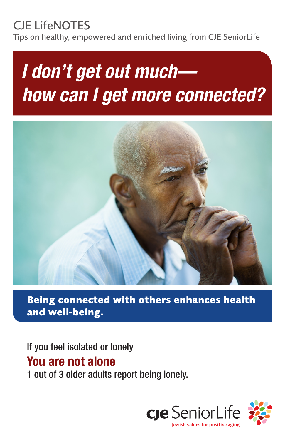# CJE LifeNOTES

Tips on healthy, empowered and enriched living from CJE SeniorLife

# *I don't get out much how can I get more connected?*



**Being connected with others enhances health and well-being.**

If you feel isolated or lonely You are not alone 1 out of 3 older adults report being lonely.

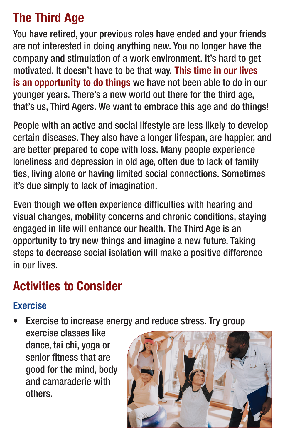# The Third Age

You have retired, your previous roles have ended and your friends are not interested in doing anything new. You no longer have the company and stimulation of a work environment. It's hard to get motivated. It doesn't have to be that way. This time in our lives is an opportunity to do things we have not been able to do in our younger years. There's a new world out there for the third age, that's us, Third Agers. We want to embrace this age and do things!

People with an active and social lifestyle are less likely to develop certain diseases. They also have a longer lifespan, are happier, and are better prepared to cope with loss. Many people experience loneliness and depression in old age, often due to lack of family ties, living alone or having limited social connections. Sometimes it's due simply to lack of imagination.

Even though we often experience difficulties with hearing and visual changes, mobility concerns and chronic conditions, staying engaged in life will enhance our health. The Third Age is an opportunity to try new things and imagine a new future. Taking steps to decrease social isolation will make a positive difference in our lives.

# Activities to Consider

#### Exercise

- Exercise to increase energy and reduce stress. Try group
	- exercise classes like dance, tai chi, yoga or senior fitness that are good for the mind, body and camaraderie with others.

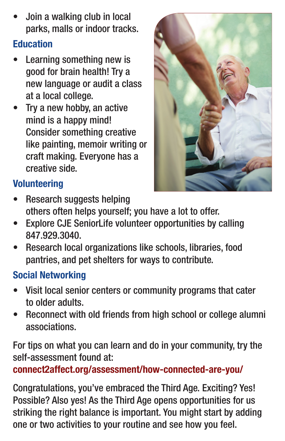• Join a walking club in local parks, malls or indoor tracks.

#### Education

- Learning something new is good for brain health! Try a new language or audit a class at a local college.
- Try a new hobby, an active mind is a happy mind! Consider something creative like painting, memoir writing or craft making. Everyone has a creative side.



## **Volunteering**

- Research suggests helping others often helps yourself; you have a lot to offer.
- Explore CJE SeniorLife volunteer opportunities by calling 847.929.3040.
- Research local organizations like schools, libraries, food pantries, and pet shelters for ways to contribute.

## Social Networking

- Visit local senior centers or community programs that cater to older adults.
- Reconnect with old friends from high school or college alumni associations.

For tips on what you can learn and do in your community, try the self-assessment found at:

connect2affect.org/assessment/how-connected-are-you/

Congratulations, you've embraced the Third Age. Exciting? Yes! Possible? Also yes! As the Third Age opens opportunities for us striking the right balance is important. You might start by adding one or two activities to your routine and see how you feel.